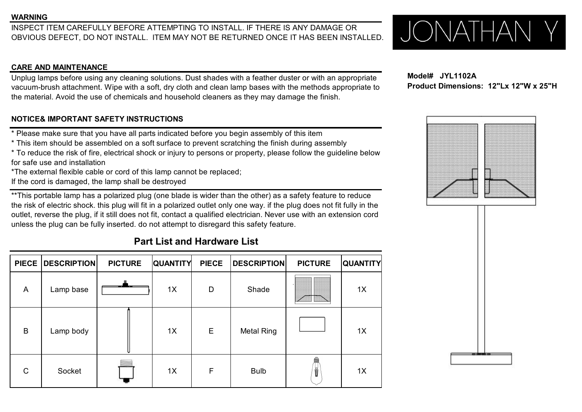INSPECT ITEM CAREFULLY BEFORE ATTEMPTING TO INSTALL. IF THERE IS ANY DAMAGE OR OBVIOUS DEFECT, DO NOT INSTALL. ITEM MAY NOT BE RETURNED ONCE IT HAS BEEN INSTALLED.  $\bigcup_{i} \bigcap_{i} \bigcap_{i} \bigcap_{j} \bigcap_{j} \bigcap_{j} \bigcap_{j} \bigcap_{j} \bigcap_{j} \bigcap$ OBVIOUS DEFECT, DO NOT INSTALL. ITEM MAY NOT BE RETURNED ONCE IT HAS BEEN INSTALLED.

### **CARE AND MAINTENANCE**

Unplug lamps before using any cleaning solutions. Dust shades with a feather duster or with an appropriate vacuum-brush attachment. Wipe with a soft, dry cloth and clean lamp bases with the methods appropriate to the material. Avoid the use of chemicals and household cleaners as they may damage the finish.

### **NOTICE& IMPORTANT SAFETY INSTRUCTIONS**

- \* Please make sure that you have all parts indicated before you begin assembly of this item
- \* This item should be assembled on a soft surface to prevent scratching the finish during assembly
- \* To reduce the risk of fire, electrical shock or injury to persons or property, please follow the guideline below for safe use and installation
- \*The external flexible cable or cord of this lamp cannot be replaced;
- If the cord is damaged, the lamp shall be destroyed

\*\*This portable lamp has a polarized plug (one blade is wider than the other) as a safety feature to reduce the risk of electric shock. this plug will fit in a polarized outlet only one way. if the plug does not fit fully in the outlet, reverse the plug, if it still does not fit, contact a qualified electrician. Never use with an extension cord unless the plug can be fully inserted. do not attempt to disregard this safety feature.

# **Part List and Hardware List**

|                | PIECE   DESCRIPTION | <b>PICTURE</b> |  | <b>QUANTITY</b> | <b>PIECE</b> | <b>DESCRIPTION</b> | <b>PICTURE</b> | <b>QUANTITY</b> |
|----------------|---------------------|----------------|--|-----------------|--------------|--------------------|----------------|-----------------|
| $\overline{A}$ | Lamp base           | --             |  | 1X              | D            | Shade              |                | 1X              |
| $\overline{B}$ | Lamp body           |                |  | 1X              | $\mathsf E$  | <b>Metal Ring</b>  |                | 1X              |
| $\mathsf{C}$   | Socket              |                |  | 1X              | F            | <b>Bulb</b>        | Ŭ              | 1X              |

**Model# JYL1102A Product Dimensions: 12"Lx 12"W x 25"H**